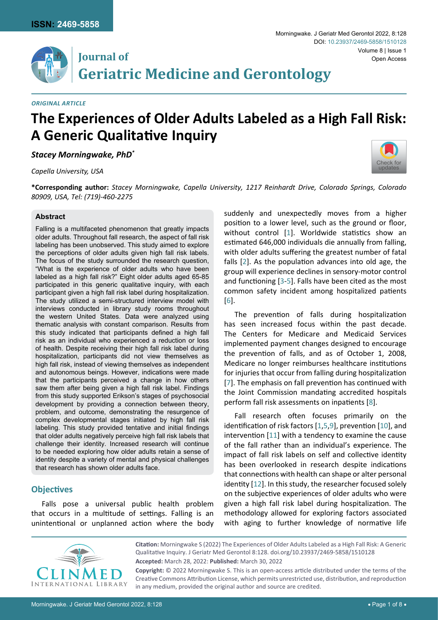

## **Journal of Geriatric Medicine and Gerontology**

*Original Article*

# **The Experiences of Older Adults Labeled as a High Fall Risk: A Generic Qualitative Inquiry**

*Stacey Morningwake, PhD\**

*Capella University, USA*



**\*Corresponding author:** *Stacey Morningwake, Capella University, 1217 Reinhardt Drive, Colorado Springs, Colorado 80909, USA, Tel: (719)-460-2275*

#### **Abstract**

Falling is a multifaceted phenomenon that greatly impacts older adults. Throughout fall research, the aspect of fall risk labeling has been unobserved. This study aimed to explore the perceptions of older adults given high fall risk labels. The focus of the study surrounded the research question, "What is the experience of older adults who have been labeled as a high fall risk?" Eight older adults aged 65-85 participated in this generic qualitative inquiry, with each participant given a high fall risk label during hospitalization. The study utilized a semi-structured interview model with interviews conducted in library study rooms throughout the western United States. Data were analyzed using thematic analysis with constant comparison. Results from this study indicated that participants defined a high fall risk as an individual who experienced a reduction or loss of health. Despite receiving their high fall risk label during hospitalization, participants did not view themselves as high fall risk, instead of viewing themselves as independent and autonomous beings. However, indications were made that the participants perceived a change in how others saw them after being given a high fall risk label. Findings from this study supported Erikson's stages of psychosocial development by providing a connection between theory, problem, and outcome, demonstrating the resurgence of complex developmental stages initiated by high fall risk labeling. This study provided tentative and initial findings that older adults negatively perceive high fall risk labels that challenge their identity. Increased research will continue to be needed exploring how older adults retain a sense of identity despite a variety of mental and physical challenges that research has shown older adults face.

### **Objectives**

Falls pose a universal public health problem that occurs in a multitude of settings. Falling is an unintentional or unplanned action where the body suddenly and unexpectedly moves from a higher position to a lower level, such as the ground or floor, without control [[1](#page-5-0)]. Worldwide statistics show an estimated 646,000 individuals die annually from falling, with older adults suffering the greatest number of fatal falls [[2](#page-5-1)]. As the population advances into old age, the group will experience declines in sensory-motor control and functioning [[3](#page-5-2)-[5](#page-5-3)]. Falls have been cited as the most common safety incident among hospitalized patients [[6\]](#page-5-4).

The prevention of falls during hospitalization has seen increased focus within the past decade. The Centers for Medicare and Medicaid Services implemented payment changes designed to encourage the prevention of falls, and as of October 1, 2008, Medicare no longer reimburses healthcare institutions for injuries that occur from falling during hospitalization [[7\]](#page-5-5). The emphasis on fall prevention has continued with the Joint Commission mandating accredited hospitals perform fall risk assessments on inpatients [[8](#page-5-6)].

Fall research often focuses primarily on the identification of risk factors [[1](#page-5-0),[5](#page-5-3)[,9\]](#page-5-7), prevention [[10\]](#page-5-8), and intervention [[11](#page-5-9)] with a tendency to examine the cause of the fall rather than an individual's experience. The impact of fall risk labels on self and collective identity has been overlooked in research despite indications that connections with health can shape or alter personal identity [[12\]](#page-5-10). In this study, the researcher focused solely on the subjective experiences of older adults who were given a high fall risk label during hospitalization. The methodology allowed for exploring factors associated with aging to further knowledge of normative life



**Citation:** Morningwake S (2022) The Experiences of Older Adults Labeled as a High Fall Risk: A Generic Qualitative Inquiry. J Geriatr Med Gerontol 8:128. [doi.org/10.23937/2469-5858/1510128](https://doi.org/10.23937/2469-5858/1510128) **Accepted:** March 28, 2022: **Published:** March 30, 2022

**Copyright:** © 2022 Morningwake S. This is an open-access article distributed under the terms of the Creative Commons Attribution License, which permits unrestricted use, distribution, and reproduction in any medium, provided the original author and source are credited.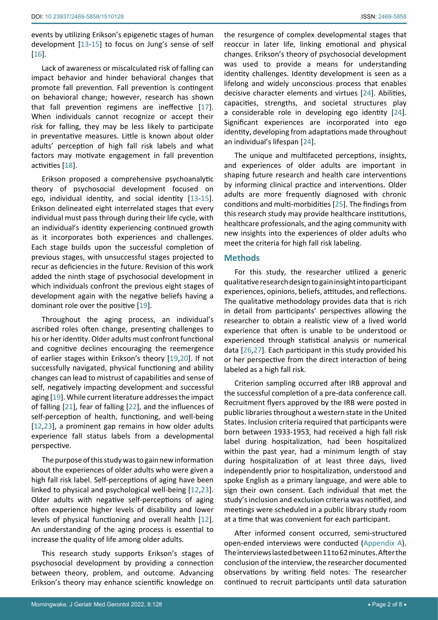events by utilizing Erikson's epigenetic stages of human development [[13-](#page-5-15)[15](#page-5-16)] to focus on Jung's sense of self [[16](#page-5-17)].

Lack of awareness or miscalculated risk of falling can impact behavior and hinder behavioral changes that promote fall prevention. Fall prevention is contingent on behavioral change; however, research has shown that fall prevention regimens are ineffective [\[17](#page-5-18)]. When individuals cannot recognize or accept their risk for falling, they may be less likely to participate in preventative measures. Little is known about older adults' perception of high fall risk labels and what factors may motivate engagement in fall prevention activities [[18\]](#page-5-19).

Erikson proposed a comprehensive psychoanalytic theory of psychosocial development focused on ego, individual identity, and social identity [[13-](#page-5-15)[15](#page-5-16)]. Erikson delineated eight interrelated stages that every individual must pass through during their life cycle, with an individual's identity experiencing continued growth as it incorporates both experiences and challenges. Each stage builds upon the successful completion of previous stages, with unsuccessful stages projected to recur as deficiencies in the future. Revision of this work added the ninth stage of psychosocial development in which individuals confront the previous eight stages of development again with the negative beliefs having a dominant role over the positive [\[19\]](#page-5-20).

Throughout the aging process, an individual's ascribed roles often change, presenting challenges to his or her identity. Older adults must confront functional and cognitive declines encouraging the reemergence of earlier stages within Erikson's theory [[19,](#page-5-20)[20](#page-5-21)]. If not successfully navigated, physical functioning and ability changes can lead to mistrust of capabilities and sense of self, negatively impacting development and successful aging [[19\]](#page-5-20). While current literature addresses the impact of falling [[21](#page-5-22)], fear of falling [[22](#page-5-23)], and the influences of self-perception of health, functioning, and well-being [[12](#page-5-10),[23\]](#page-5-24), a prominent gap remains in how older adults experience fall status labels from a developmental perspective.

The purpose of this study was to gain new information about the experiences of older adults who were given a high fall risk label. Self-perceptions of aging have been linked to physical and psychological well-being [\[12](#page-5-10)[,23](#page-5-24)]. Older adults with negative self-perceptions of aging often experience higher levels of disability and lower levels of physical functioning and overall health [\[12](#page-5-10)]. An understanding of the aging process is essential to increase the quality of life among older adults.

This research study supports Erikson's stages of psychosocial development by providing a connection between theory, problem, and outcome. Advancing Erikson's theory may enhance scientific knowledge on the resurgence of complex developmental stages that reoccur in later life, linking emotional and physical changes. Erikson's theory of psychosocial development was used to provide a means for understanding identity challenges. Identity development is seen as a lifelong and widely unconscious process that enables decisive character elements and virtues [\[24\]](#page-5-11). Abilities, capacities, strengths, and societal structures play a considerable role in developing ego identity [\[24\]](#page-5-11). Significant experiences are incorporated into ego identity, developing from adaptations made throughout an individual's lifespan [\[24](#page-5-11)].

The unique and multifaceted perceptions, insights, and experiences of older adults are important in shaping future research and health care interventions by informing clinical practice and interventions. Older adults are more frequently diagnosed with chronic conditions and multi-morbidities [\[25\]](#page-5-12). The findings from this research study may provide healthcare institutions, healthcare professionals, and the aging community with new insights into the experiences of older adults who meet the criteria for high fall risk labeling.

### **Methods**

For this study, the researcher utilized a generic qualitative research design to gain insight into participant experiences, opinions, beliefs, attitudes, and reflections. The qualitative methodology provides data that is rich in detail from participants' perspectives allowing the researcher to obtain a realistic view of a lived world experience that often is unable to be understood or experienced through statistical analysis or numerical data [[26](#page-5-13),[27\]](#page-5-14). Each participant in this study provided his or her perspective from the direct interaction of being labeled as a high fall risk.

Criterion sampling occurred after IRB approval and the successful completion of a pre-data conference call. Recruitment flyers approved by the IRB were posted in public libraries throughout a western state in the United States. Inclusion criteria required that participants were born between 1933-1953, had received a high fall risk label during hospitalization, had been hospitalized within the past year, had a minimum length of stay during hospitalization of at least three days, lived independently prior to hospitalization, understood and spoke English as a primary language, and were able to sign their own consent. Each individual that met the study's inclusion and exclusion criteria was notified, and meetings were scheduled in a public library study room at a time that was convenient for each participant.

After informed consent occurred, semi-structured open-ended interviews were conducted ([Appendix A](#page-7-0)). The interviews lasted between 11 to 62 minutes. After the conclusion of the interview, the researcher documented observations by writing field notes. The researcher continued to recruit participants until data saturation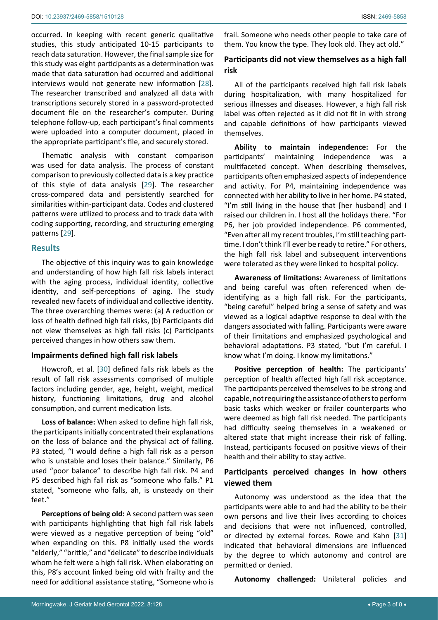occurred. In keeping with recent generic qualitative studies, this study anticipated 10-15 participants to reach data saturation. However, the final sample size for this study was eight participants as a determination was made that data saturation had occurred and additional interviews would not generate new information [\[28](#page-5-26)]. The researcher transcribed and analyzed all data with transcriptions securely stored in a password-protected document file on the researcher's computer. During telephone follow-up, each participant's final comments were uploaded into a computer document, placed in the appropriate participant's file, and securely stored.

Thematic analysis with constant comparison was used for data analysis. The process of constant comparison to previously collected data is a key practice of this style of data analysis [[29\]](#page-5-27). The researcher cross-compared data and persistently searched for similarities within-participant data. Codes and clustered patterns were utilized to process and to track data with coding supporting, recording, and structuring emerging patterns [[29\]](#page-5-27).

## **Results**

The objective of this inquiry was to gain knowledge and understanding of how high fall risk labels interact with the aging process, individual identity, collective identity, and self-perceptions of aging. The study revealed new facets of individual and collective identity. The three overarching themes were: (a) A reduction or loss of health defined high fall risks, (b) Participants did not view themselves as high fall risks (c) Participants perceived changes in how others saw them.

## **Impairments defined high fall risk labels**

Howcroft, et al. [\[30\]](#page-5-28) defined falls risk labels as the result of fall risk assessments comprised of multiple factors including gender, age, height, weight, medical history, functioning limitations, drug and alcohol consumption, and current medication lists.

**Loss of balance:** When asked to define high fall risk, the participants initially concentrated their explanations on the loss of balance and the physical act of falling. P3 stated, "I would define a high fall risk as a person who is unstable and loses their balance." Similarly, P6 used "poor balance" to describe high fall risk. P4 and P5 described high fall risk as "someone who falls." P1 stated, "someone who falls, ah, is unsteady on their feet."

**Perceptions of being old:** A second pattern was seen with participants highlighting that high fall risk labels were viewed as a negative perception of being "old" when expanding on this. P8 initially used the words "elderly," "brittle," and "delicate" to describe individuals whom he felt were a high fall risk. When elaborating on this, P8's account linked being old with frailty and the need for additional assistance stating, "Someone who is frail. Someone who needs other people to take care of them. You know the type. They look old. They act old."

## **Participants did not view themselves as a high fall risk**

All of the participants received high fall risk labels during hospitalization, with many hospitalized for serious illnesses and diseases. However, a high fall risk label was often rejected as it did not fit in with strong and capable definitions of how participants viewed themselves.

**Ability to maintain independence:** For the participants' maintaining independence was a multifaceted concept. When describing themselves, participants often emphasized aspects of independence and activity. For P4, maintaining independence was connected with her ability to live in her home. P4 stated, "I'm still living in the house that [her husband] and I raised our children in. I host all the holidays there. "For P6, her job provided independence. P6 commented, "Even after all my recent troubles, I'm still teaching parttime. I don't think I'll ever be ready to retire." For others, the high fall risk label and subsequent interventions were tolerated as they were linked to hospital policy.

**Awareness of limitations:** Awareness of limitations and being careful was often referenced when deidentifying as a high fall risk. For the participants, "being careful" helped bring a sense of safety and was viewed as a logical adaptive response to deal with the dangers associated with falling. Participants were aware of their limitations and emphasized psychological and behavioral adaptations. P3 stated, "but I'm careful. I know what I'm doing. I know my limitations."

**Positive perception of health:** The participants' perception of health affected high fall risk acceptance. The participants perceived themselves to be strong and capable, not requiring the assistance of others to perform basic tasks which weaker or frailer counterparts who were deemed as high fall risk needed. The participants had difficulty seeing themselves in a weakened or altered state that might increase their risk of falling. Instead, participants focused on positive views of their health and their ability to stay active.

## **Participants perceived changes in how others viewed them**

Autonomy was understood as the idea that the participants were able to and had the ability to be their own persons and live their lives according to choices and decisions that were not influenced, controlled, or directed by external forces. Rowe and Kahn [\[31](#page-5-25)] indicated that behavioral dimensions are influenced by the degree to which autonomy and control are permitted or denied.

**Autonomy challenged:** Unilateral policies and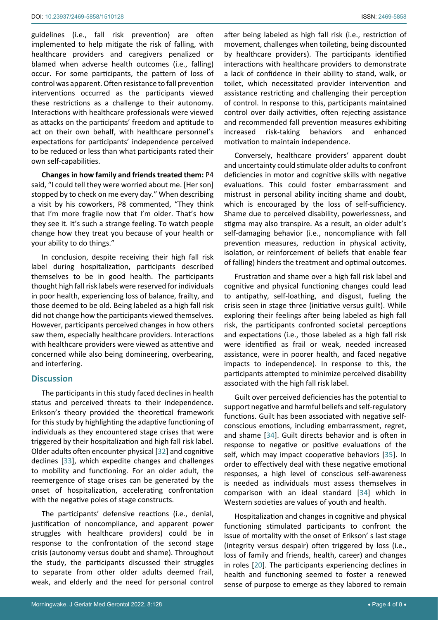guidelines (i.e., fall risk prevention) are often implemented to help mitigate the risk of falling, with healthcare providers and caregivers penalized or blamed when adverse health outcomes (i.e., falling) occur. For some participants, the pattern of loss of control was apparent. Often resistance to fall prevention interventions occurred as the participants viewed these restrictions as a challenge to their autonomy. Interactions with healthcare professionals were viewed as attacks on the participants' freedom and aptitude to act on their own behalf, with healthcare personnel's expectations for participants' independence perceived to be reduced or less than what participants rated their own self-capabilities.

**Changes in how family and friends treated them:** P4 said, "I could tell they were worried about me. [Her son] stopped by to check on me every day." When describing a visit by his coworkers, P8 commented, "They think that I'm more fragile now that I'm older. That's how they see it. It's such a strange feeling. To watch people change how they treat you because of your health or your ability to do things."

In conclusion, despite receiving their high fall risk label during hospitalization, participants described themselves to be in good health. The participants thought high fall risk labels were reserved for individuals in poor health, experiencing loss of balance, frailty, and those deemed to be old. Being labeled as a high fall risk did not change how the participants viewed themselves. However, participants perceived changes in how others saw them, especially healthcare providers. Interactions with healthcare providers were viewed as attentive and concerned while also being domineering, overbearing, and interfering.

## **Discussion**

The participants in this study faced declines in health status and perceived threats to their independence. Erikson's theory provided the theoretical framework for this study by highlighting the adaptive functioning of individuals as they encountered stage crises that were triggered by their hospitalization and high fall risk label. Older adults often encounter physical [[32\]](#page-6-2) and cognitive declines [[33\]](#page-6-3), which expedite changes and challenges to mobility and functioning. For an older adult, the reemergence of stage crises can be generated by the onset of hospitalization, accelerating confrontation with the negative poles of stage constructs.

The participants' defensive reactions (i.e., denial, justification of noncompliance, and apparent power struggles with healthcare providers) could be in response to the confrontation of the second stage crisis (autonomy versus doubt and shame). Throughout the study, the participants discussed their struggles to separate from other older adults deemed frail, weak, and elderly and the need for personal control

after being labeled as high fall risk (i.e., restriction of movement, challenges when toileting, being discounted by healthcare providers). The participants identified interactions with healthcare providers to demonstrate a lack of confidence in their ability to stand, walk, or toilet, which necessitated provider intervention and assistance restricting and challenging their perception of control. In response to this, participants maintained control over daily activities, often rejecting assistance and recommended fall prevention measures exhibiting increased risk-taking behaviors and enhanced motivation to maintain independence.

Conversely, healthcare providers' apparent doubt and uncertainty could stimulate older adults to confront deficiencies in motor and cognitive skills with negative evaluations. This could foster embarrassment and mistrust in personal ability inciting shame and doubt, which is encouraged by the loss of self-sufficiency. Shame due to perceived disability, powerlessness, and stigma may also transpire. As a result, an older adult's self-damaging behavior (i.e., noncompliance with fall prevention measures, reduction in physical activity, isolation, or reinforcement of beliefs that enable fear of falling) hinders the treatment and optimal outcomes.

Frustration and shame over a high fall risk label and cognitive and physical functioning changes could lead to antipathy, self-loathing, and disgust, fueling the crisis seen in stage three (initiative versus guilt). While exploring their feelings after being labeled as high fall risk, the participants confronted societal perceptions and expectations (i.e., those labeled as a high fall risk were identified as frail or weak, needed increased assistance, were in poorer health, and faced negative impacts to independence). In response to this, the participants attempted to minimize perceived disability associated with the high fall risk label.

Guilt over perceived deficiencies has the potential to support negative and harmful beliefs and self-regulatory functions. Guilt has been associated with negative selfconscious emotions, including embarrassment, regret, and shame [\[34](#page-6-0)]. Guilt directs behavior and is often in response to negative or positive evaluations of the self, which may impact cooperative behaviors [\[35](#page-6-1)]. In order to effectively deal with these negative emotional responses, a high level of conscious self-awareness is needed as individuals must assess themselves in comparison with an ideal standard [[34](#page-6-0)] which in Western societies are values of youth and health.

Hospitalization and changes in cognitive and physical functioning stimulated participants to confront the issue of mortality with the onset of Erikson' s last stage (integrity versus despair) often triggered by loss (i.e., loss of family and friends, health, career) and changes in roles [[20](#page-5-21)]. The participants experiencing declines in health and functioning seemed to foster a renewed sense of purpose to emerge as they labored to remain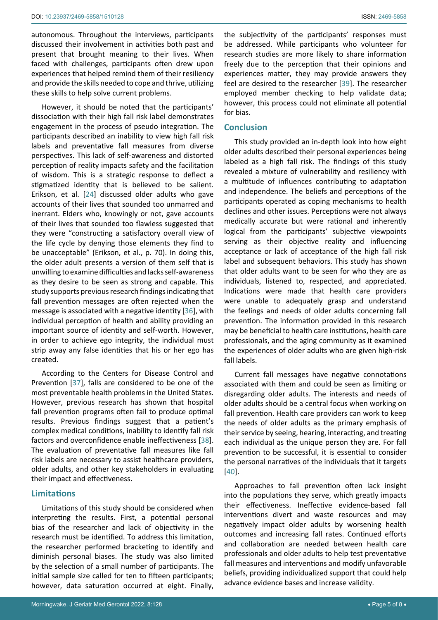autonomous. Throughout the interviews, participants discussed their involvement in activities both past and present that brought meaning to their lives. When faced with challenges, participants often drew upon experiences that helped remind them of their resiliency and provide the skills needed to cope and thrive, utilizing these skills to help solve current problems.

However, it should be noted that the participants' dissociation with their high fall risk label demonstrates engagement in the process of pseudo integration. The participants described an inability to view high fall risk labels and preventative fall measures from diverse perspectives. This lack of self-awareness and distorted perception of reality impacts safety and the facilitation of wisdom. This is a strategic response to deflect a stigmatized identity that is believed to be salient. Erikson, et al. [\[24\]](#page-5-11) discussed older adults who gave accounts of their lives that sounded too unmarred and inerrant. Elders who, knowingly or not, gave accounts of their lives that sounded too flawless suggested that they were "constructing a satisfactory overall view of the life cycle by denying those elements they find to be unacceptable" (Erikson, et al., p. 70). In doing this, the older adult presents a version of them self that is unwilling to examine difficulties and lacks self-awareness as they desire to be seen as strong and capable. This study supports previous research findings indicating that fall prevention messages are often rejected when the message is associated with a negative identity [\[36](#page-6-6)], with individual perception of health and ability providing an important source of identity and self-worth. However, in order to achieve ego integrity, the individual must strip away any false identities that his or her ego has created.

According to the Centers for Disease Control and Prevention [[37\]](#page-6-7), falls are considered to be one of the most preventable health problems in the United States. However, previous research has shown that hospital fall prevention programs often fail to produce optimal results. Previous findings suggest that a patient's complex medical conditions, inability to identify fall risk factors and overconfidence enable ineffectiveness [\[38](#page-6-8)]. The evaluation of preventative fall measures like fall risk labels are necessary to assist healthcare providers, older adults, and other key stakeholders in evaluating their impact and effectiveness.

## **Limitations**

Limitations of this study should be considered when interpreting the results. First, a potential personal bias of the researcher and lack of objectivity in the research must be identified. To address this limitation, the researcher performed bracketing to identify and diminish personal biases. The study was also limited by the selection of a small number of participants. The initial sample size called for ten to fifteen participants; however, data saturation occurred at eight. Finally, the subjectivity of the participants' responses must be addressed. While participants who volunteer for research studies are more likely to share information freely due to the perception that their opinions and experiences matter, they may provide answers they feel are desired to the researcher [[39\]](#page-6-4). The researcher employed member checking to help validate data; however, this process could not eliminate all potential for bias.

## **Conclusion**

This study provided an in-depth look into how eight older adults described their personal experiences being labeled as a high fall risk. The findings of this study revealed a mixture of vulnerability and resiliency with a multitude of influences contributing to adaptation and independence. The beliefs and perceptions of the participants operated as coping mechanisms to health declines and other issues. Perceptions were not always medically accurate but were rational and inherently logical from the participants' subjective viewpoints serving as their objective reality and influencing acceptance or lack of acceptance of the high fall risk label and subsequent behaviors. This study has shown that older adults want to be seen for who they are as individuals, listened to, respected, and appreciated. Indications were made that health care providers were unable to adequately grasp and understand the feelings and needs of older adults concerning fall prevention. The information provided in this research may be beneficial to health care institutions, health care professionals, and the aging community as it examined the experiences of older adults who are given high-risk fall labels.

Current fall messages have negative connotations associated with them and could be seen as limiting or disregarding older adults. The interests and needs of older adults should be a central focus when working on fall prevention. Health care providers can work to keep the needs of older adults as the primary emphasis of their service by seeing, hearing, interacting, and treating each individual as the unique person they are. For fall prevention to be successful, it is essential to consider the personal narratives of the individuals that it targets [[40](#page-6-5)].

Approaches to fall prevention often lack insight into the populations they serve, which greatly impacts their effectiveness. Ineffective evidence-based fall interventions divert and waste resources and may negatively impact older adults by worsening health outcomes and increasing fall rates. Continued efforts and collaboration are needed between health care professionals and older adults to help test preventative fall measures and interventions and modify unfavorable beliefs, providing individualized support that could help advance evidence bases and increase validity.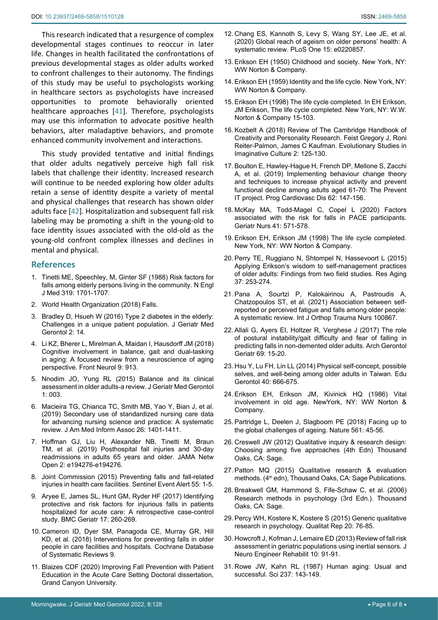This research indicated that a resurgence of complex developmental stages continues to reoccur in later life. Changes in health facilitated the confrontations of previous developmental stages as older adults worked to confront challenges to their autonomy. The findings of this study may be useful to psychologists working in healthcare sectors as psychologists have increased opportunities to promote behaviorally oriented healthcare approaches [[41](#page-6-9)]. Therefore, psychologists may use this information to advocate positive health behaviors, alter maladaptive behaviors, and promote enhanced community involvement and interactions.

This study provided tentative and initial findings that older adults negatively perceive high fall risk labels that challenge their identity. Increased research will continue to be needed exploring how older adults retain a sense of identity despite a variety of mental and physical challenges that research has shown older adults face [[42\]](#page-6-10). Hospitalization and subsequent fall risk labeling may be promoting a shift in the young-old to face identity issues associated with the old-old as the young-old confront complex illnesses and declines in mental and physical.

### **References**

- <span id="page-5-0"></span>1. [Tinetti ME, Speechley, M, Ginter SF \(1988\) Risk factors for](doi:10.1056/NEJM198812293192604)  [falls among elderly persons living in the community. N Engl](doi:10.1056/NEJM198812293192604)  [J Med 319: 1701-1707.](doi:10.1056/NEJM198812293192604)
- <span id="page-5-1"></span>2. [World Health Organization \(2018\) Falls.](https://www.who.int/news-room/fact-sheets/detail/falls)
- <span id="page-5-2"></span>3. [Bradley D, Hsueh W \(2016\) Type 2 diabetes in the elderly:](https://pubmed.ncbi.nlm.nih.gov/31692858/)  [Challenges in a unique patient population. J Geriatr Med](https://pubmed.ncbi.nlm.nih.gov/31692858/)  [Gerontol 2: 14.](https://pubmed.ncbi.nlm.nih.gov/31692858/)
- 4. Li KZ, Bherer L, Mirelman A, Maidan I, Hausdorff JM (2018) Cognitive involvement in balance, gait and dual-tasking in aging: A focused review from a neuroscience of aging perspective. Front Neurol 9: 913.
- <span id="page-5-3"></span>5. [Nnodim JO, Yung RL \(2015\) Balance and its clinical](https://pubmed.ncbi.nlm.nih.gov/26942231/)  [assessment in older adults-a review. J Geriatr Med Gerontol](https://pubmed.ncbi.nlm.nih.gov/26942231/)  [1: 003.](https://pubmed.ncbi.nlm.nih.gov/26942231/)
- <span id="page-5-4"></span>6. [Macieira TG, Chianca TC, Smith MB, Yao Y, Bian J, et al.](https://pubmed.ncbi.nlm.nih.gov/31188439/)  [\(2019\) Secondary use of standardized nursing care data](https://pubmed.ncbi.nlm.nih.gov/31188439/)  [for advancing nursing science and practice: A systematic](https://pubmed.ncbi.nlm.nih.gov/31188439/)  [review. J Am Med Inform Assoc 26: 1401-1411.](https://pubmed.ncbi.nlm.nih.gov/31188439/)
- <span id="page-5-5"></span>7. [Hoffman GJ, Liu H, Alexander NB, Tinetti M, Braun](https://pubmed.ncbi.nlm.nih.gov/31125100/)  [TM, et al. \(2019\) Posthospital fall injuries and 30-day](https://pubmed.ncbi.nlm.nih.gov/31125100/)  [readmissions in adults 65 years and older. JAMA Netw](https://pubmed.ncbi.nlm.nih.gov/31125100/)  [Open 2: e194276-e194276.](https://pubmed.ncbi.nlm.nih.gov/31125100/)
- <span id="page-5-6"></span>8. [Joint Commission \(2015\) Preventing falls and fall-related](https://pubmed.ncbi.nlm.nih.gov/26422837/)  [injuries in health care facilities. Sentinel Event Alert 55: 1-5.](https://pubmed.ncbi.nlm.nih.gov/26422837/)
- <span id="page-5-7"></span>9. [Aryee E, James SL, Hunt GM, Ryder HF \(2017\) Identifying](https://www.ncbi.nlm.nih.gov/pmc/articles/PMC5678557/)  [protective and risk factors for injurious falls in patients](https://www.ncbi.nlm.nih.gov/pmc/articles/PMC5678557/)  [hospitalized for acute care: A retrospective case-control](https://www.ncbi.nlm.nih.gov/pmc/articles/PMC5678557/)  [study. BMC Geriatr 17: 260-269.](https://www.ncbi.nlm.nih.gov/pmc/articles/PMC5678557/)
- <span id="page-5-8"></span>10. [Cameron ID, Dyer SM, Panagoda CE, Murray GR, Hill](https://pubmed.ncbi.nlm.nih.gov/30191554/)  [KD, et al. \(2018\) Interventions for preventing falls in older](https://pubmed.ncbi.nlm.nih.gov/30191554/)  [people in care facilities and hospitals. Cochrane Database](https://pubmed.ncbi.nlm.nih.gov/30191554/)  [of Systematic Reviews 9.](https://pubmed.ncbi.nlm.nih.gov/30191554/)
- <span id="page-5-9"></span>11. Blaizes CDF (2020) Improving Fall Prevention with Patient Education in the Acute Care Setting Doctoral dissertation, Grand Canyon University.
- <span id="page-5-10"></span>12. [Chang ES, Kannoth S, Levy S, Wang SY, Lee JE, et al.](https://pubmed.ncbi.nlm.nih.gov/31940338/)  [\(2020\) Global reach of ageism on older persons' health: A](https://pubmed.ncbi.nlm.nih.gov/31940338/)  [systematic review. PLoS One 15: e0220857.](https://pubmed.ncbi.nlm.nih.gov/31940338/)
- <span id="page-5-15"></span>13. [Erikson EH \(1950\) Childhood and society. New York, NY:](https://www.google.co.in/books/edition/_/sUEVAAAAIAAJ?hl=en&sa=X&ved=2ahUKEwjS88e2vLv2AhW8S2wGHVpiCiwQre8FegQIAxB9)  [WW Norton & Company.](https://www.google.co.in/books/edition/_/sUEVAAAAIAAJ?hl=en&sa=X&ved=2ahUKEwjS88e2vLv2AhW8S2wGHVpiCiwQre8FegQIAxB9)
- 14. [Erikson EH \(1959\) Identity and the life cycle. New York, NY:](https://www.google.co.in/books/edition/_/Ok5qAAAAMAAJ?hl=en&sa=X&ved=2ahUKEwi8ipntvLv2AhVYT2wGHSjqDdoQre8FegQIAxAz)  [WW Norton & Company.](https://www.google.co.in/books/edition/_/Ok5qAAAAMAAJ?hl=en&sa=X&ved=2ahUKEwi8ipntvLv2AhVYT2wGHSjqDdoQre8FegQIAxAz)
- <span id="page-5-16"></span>15. [Erikson EH \(1998\) The life cycle completed. In EH Erikson,](https://www.google.co.in/books/edition/The_Life_Cycle_Completed_Extended_Versio/SKidSuluprgC?hl=en&gbpv=0)  [JM Erikson, The life cycle completed. New York, NY: W.W.](https://www.google.co.in/books/edition/The_Life_Cycle_Completed_Extended_Versio/SKidSuluprgC?hl=en&gbpv=0)  [Norton & Company 15-103.](https://www.google.co.in/books/edition/The_Life_Cycle_Completed_Extended_Versio/SKidSuluprgC?hl=en&gbpv=0)
- <span id="page-5-17"></span>16. Kozbelt A (2018) Review of The Cambridge Handbook of Creativity and Personality Research. Feist Gregory J, Roni Reiter-Palmon, James C Kaufman. Evolutionary Studies in Imaginative Culture 2: 125-130.
- <span id="page-5-18"></span>17. [Boulton E, Hawley-Hague H, French DP, Mellone S, Zacchi](https://pubmed.ncbi.nlm.nih.gov/30685469/)  [A, et al. \(2019\) Implementing behaviour change theory](https://pubmed.ncbi.nlm.nih.gov/30685469/)  [and techniques to increase physical activity and prevent](https://pubmed.ncbi.nlm.nih.gov/30685469/)  [functional decline among adults aged 61-70: The Prevent](https://pubmed.ncbi.nlm.nih.gov/30685469/)  [IT project. Prog Cardiovasc Dis 62: 147-156.](https://pubmed.ncbi.nlm.nih.gov/30685469/)
- <span id="page-5-19"></span>18. [McKay MA, Todd-Magel C, Copel L \(2020\) Factors](https://pubmed.ncbi.nlm.nih.gov/32199737/)  [associated with the risk for falls in PACE participants.](https://pubmed.ncbi.nlm.nih.gov/32199737/)  [Geriatr Nurs 41: 571-578.](https://pubmed.ncbi.nlm.nih.gov/32199737/)
- <span id="page-5-20"></span>19. [Erikson EH, Erikson JM \(1998\) The life cycle completed.](https://www.google.co.in/books/edition/The_Life_Cycle_Completed_Extended_Versio/SKidSuluprgC?hl=en&gbpv=0)  [New York, NY: WW Norton & Company.](https://www.google.co.in/books/edition/The_Life_Cycle_Completed_Extended_Versio/SKidSuluprgC?hl=en&gbpv=0)
- <span id="page-5-21"></span>20. [Perry TE, Ruggiano N, Shtompel N, Hassevoort L \(2015\)](https://pubmed.ncbi.nlm.nih.gov/25651571/)  [Applying Erikson's wisdom to self-management practices](https://pubmed.ncbi.nlm.nih.gov/25651571/)  [of older adults: Findings from two field studies. Res Aging](https://pubmed.ncbi.nlm.nih.gov/25651571/)  [37: 253-274.](https://pubmed.ncbi.nlm.nih.gov/25651571/)
- <span id="page-5-22"></span>21. [Pana A, Sourtzi P, Kalokairinou A, Pastroudis A,](https://pubmed.ncbi.nlm.nih.gov/34399107/)  [Chatzopoulos ST, et al. \(2021\) Association between self](https://pubmed.ncbi.nlm.nih.gov/34399107/)[reported or perceived fatigue and falls among older people:](https://pubmed.ncbi.nlm.nih.gov/34399107/)  [A systematic review. Int J Orthop Trauma Nurs 100867.](https://pubmed.ncbi.nlm.nih.gov/34399107/)
- <span id="page-5-23"></span>22. [Allali G, Ayers EI, Holtzer R, Verghese J \(2017\) The role](https://pubmed.ncbi.nlm.nih.gov/27866086/)  [of postural instability/gait difficulty and fear of falling in](https://pubmed.ncbi.nlm.nih.gov/27866086/)  [predicting falls in non-demented older adults. Arch Gerontol](https://pubmed.ncbi.nlm.nih.gov/27866086/)  [Geriatr 69: 15-20.](https://pubmed.ncbi.nlm.nih.gov/27866086/)
- <span id="page-5-24"></span>23. [Hsu Y, Lu FH, Lin LL \(2014\) Physical self-concept, possible](https://psycnet.apa.org/record/2014-16711-003)  [selves, and well-being among older adults in Taiwan. Edu](https://psycnet.apa.org/record/2014-16711-003)  [Gerontol 40: 666-675.](https://psycnet.apa.org/record/2014-16711-003)
- <span id="page-5-11"></span>24. [Erikson EH, Erikson JM, Kivinick HQ \(1986\) Vital](https://www.google.com/books/edition/_/SyOjkh6Q-L4C?sa=X&ved=2ahUKEwjlvciex7v2AhXuSGwGHfgvCUcQ7_IDegQIEhAC)  [involvement in old age. NewYork, NY: WW Norton &](https://www.google.com/books/edition/_/SyOjkh6Q-L4C?sa=X&ved=2ahUKEwjlvciex7v2AhXuSGwGHfgvCUcQ7_IDegQIEhAC)  [Company.](https://www.google.com/books/edition/_/SyOjkh6Q-L4C?sa=X&ved=2ahUKEwjlvciex7v2AhXuSGwGHfgvCUcQ7_IDegQIEhAC)
- <span id="page-5-12"></span>25. [Partridge L, Deelen J, Slagboom PE \(2018\) Facing up to](https://pubmed.ncbi.nlm.nih.gov/30185958/)  [the global challenges of ageing. Nature 561: 45-56.](https://pubmed.ncbi.nlm.nih.gov/30185958/)
- <span id="page-5-13"></span>26. [Creswell JW \(2012\) Qualitative inquiry & research design:](https://www.google.co.in/books/edition/Qualitative_Inquiry_and_Research_Design/OJYEbDtkxq8C?hl=en&gbpv=0)  [Choosing among five approaches \(4th Edn\) Thousand](https://www.google.co.in/books/edition/Qualitative_Inquiry_and_Research_Design/OJYEbDtkxq8C?hl=en&gbpv=0)  [Oaks, CA: Sage.](https://www.google.co.in/books/edition/Qualitative_Inquiry_and_Research_Design/OJYEbDtkxq8C?hl=en&gbpv=0)
- <span id="page-5-14"></span>27. [Patton MQ \(2015\) Qualitative research & evaluation](https://www.google.co.in/books/edition/_/dCNhngEACAAJ?hl=en&sa=X&ved=2ahUKEwi6q_v_xbv2AhXpSmwGHdpYDtQQre8FegQIAxAh)  methods. (4<sup>th</sup> edn), Thousand Oaks, CA: Sage Publications.
- <span id="page-5-26"></span>28. Breakwell GM, Hammond S, Fife-Schaw C, et al. (2006) Research methods in psychology (3rd Edn.). Thousand Oaks, CA: Sage.
- <span id="page-5-27"></span>29. Percy WH, Kostere K, Kostere S (2015) Generic qualitative research in psychology. Qualitat Rep 20: 76-85.
- <span id="page-5-28"></span>30. [Howcroft J, Kofman J, Lemaire ED \(2013\) Review of fall risk](https://jneuroengrehab.biomedcentral.com/articles/10.1186/1743-0003-10-91)  [assessment in geriatric populations using inertial sensors. J](https://jneuroengrehab.biomedcentral.com/articles/10.1186/1743-0003-10-91)  [Neuro Engineer Rehabilit 10: 91-91.](https://jneuroengrehab.biomedcentral.com/articles/10.1186/1743-0003-10-91)
- <span id="page-5-25"></span>31. [Rowe JW, Kahn RL \(1987\) Human aging: Usual and](https://pubmed.ncbi.nlm.nih.gov/3299702/)  [successful. Sci 237: 143-149.](https://pubmed.ncbi.nlm.nih.gov/3299702/)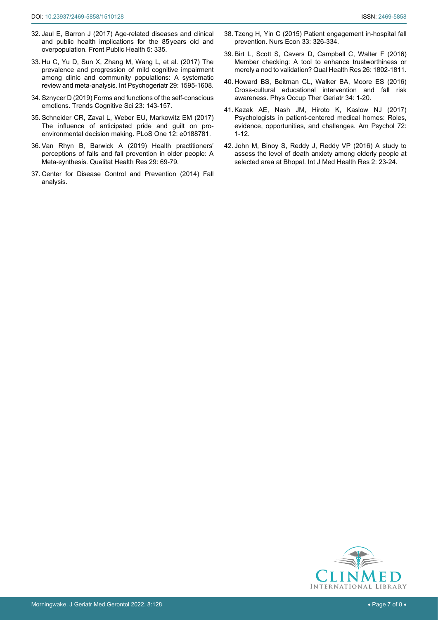- <span id="page-6-2"></span>32. [Jaul E, Barron J \(2017\) Age-related diseases and clinical](https://www.ncbi.nlm.nih.gov/pmc/articles/PMC5732407/)  [and public health implications for the 85years old and](https://www.ncbi.nlm.nih.gov/pmc/articles/PMC5732407/)  [overpopulation. Front Public Health 5: 335.](https://www.ncbi.nlm.nih.gov/pmc/articles/PMC5732407/)
- <span id="page-6-3"></span>33. [Hu C, Yu D, Sun X, Zhang M, Wang L, et al. \(2017\) The](https://pubmed.ncbi.nlm.nih.gov/28884657/)  [prevalence and progression of mild cognitive impairment](https://pubmed.ncbi.nlm.nih.gov/28884657/)  [among clinic and community populations: A systematic](https://pubmed.ncbi.nlm.nih.gov/28884657/)  [review and meta-analysis. Int Psychogeriatr 29: 1595-1608.](https://pubmed.ncbi.nlm.nih.gov/28884657/)
- <span id="page-6-0"></span>34. [Sznycer D \(2019\) Forms and functions of the self-conscious](https://www.cell.com/trends/cognitive-sciences/fulltext/S1364-6613(18)30272-9)  [emotions. Trends Cognitive Sci 23: 143-157.](https://www.cell.com/trends/cognitive-sciences/fulltext/S1364-6613(18)30272-9)
- <span id="page-6-1"></span>35. [Schneider CR, Zaval L, Weber EU, Markowitz EM \(2017\)](https://journals.plos.org/plosone/article?id=10.1371/journal.pone.0188781)  [The influence of anticipated pride and guilt on pro](https://journals.plos.org/plosone/article?id=10.1371/journal.pone.0188781)[environmental decision making. PLoS One 12: e0188781.](https://journals.plos.org/plosone/article?id=10.1371/journal.pone.0188781)
- <span id="page-6-6"></span>36. [Van Rhyn B, Barwick A \(2019\) Health practitioners'](https://pubmed.ncbi.nlm.nih.gov/30311840/)  [perceptions of falls and fall prevention in older people: A](https://pubmed.ncbi.nlm.nih.gov/30311840/)  [Meta-synthesis. Qualitat Health Res 29: 69-79.](https://pubmed.ncbi.nlm.nih.gov/30311840/)
- <span id="page-6-7"></span>37. Center for Disease Control and Prevention (2014) Fall analysis.
- <span id="page-6-8"></span>38. [Tzeng H, Yin C \(2015\) Patient engagement in-hospital fall](https://pubmed.ncbi.nlm.nih.gov/26845821/)  [prevention. Nurs Econ 33: 326-334.](https://pubmed.ncbi.nlm.nih.gov/26845821/)
- <span id="page-6-4"></span>39. [Birt L, Scott S, Cavers D, Campbell C, Walter F \(2016\)](https://pubmed.ncbi.nlm.nih.gov/27340178/)  [Member checking: A tool to enhance trustworthiness or](https://pubmed.ncbi.nlm.nih.gov/27340178/)  [merely a nod to validation? Qual Health Res 26: 1802-1811.](https://pubmed.ncbi.nlm.nih.gov/27340178/)
- <span id="page-6-5"></span>40. [Howard BS, Beitman CL, Walker BA, Moore ES \(2016\)](https://www.tandfonline.com/doi/abs/10.3109/02703181.2015.1105344?journalCode=ipog20)  [Cross-cultural educational intervention and fall risk](https://www.tandfonline.com/doi/abs/10.3109/02703181.2015.1105344?journalCode=ipog20)  [awareness. Phys Occup Ther Geriatr 34: 1-20.](https://www.tandfonline.com/doi/abs/10.3109/02703181.2015.1105344?journalCode=ipog20)
- <span id="page-6-9"></span>41. [Kazak AE, Nash JM, Hiroto K, Kaslow NJ \(2017\)](https://pubmed.ncbi.nlm.nih.gov/28068134/)  [Psychologists in patient-centered medical homes: Roles,](https://pubmed.ncbi.nlm.nih.gov/28068134/)  [evidence, opportunities, and challenges. Am Psychol 72:](https://pubmed.ncbi.nlm.nih.gov/28068134/)  [1-12.](https://pubmed.ncbi.nlm.nih.gov/28068134/)
- <span id="page-6-10"></span>42. [John M, Binoy S, Reddy J, Reddy VP \(2016\) A study to](http://www.medicalsciencejournal.com/archives/2016/vol2/issue5/2-5-22.)  [assess the level of death anxiety among elderly people at](http://www.medicalsciencejournal.com/archives/2016/vol2/issue5/2-5-22.)  [selected area at Bhopal. Int J Med Health Res 2: 23-24.](http://www.medicalsciencejournal.com/archives/2016/vol2/issue5/2-5-22.)